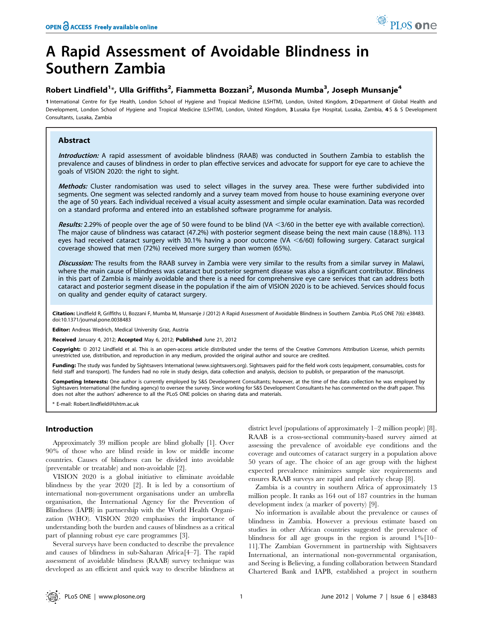# A Rapid Assessment of Avoidable Blindness in Southern Zambia

# Robert Lindfield<sup>1</sup>\*, Ulla Griffiths<sup>2</sup>, Fiammetta Bozzani<sup>2</sup>, Musonda Mumba<sup>3</sup>, Joseph Munsanje<sup>4</sup>

1 International Centre for Eye Health, London School of Hygiene and Tropical Medicine (LSHTM), London, United Kingdom, 2 Department of Global Health and Development, London School of Hygiene and Tropical Medicine (LSHTM), London, United Kingdom, 3 Lusaka Eye Hospital, Lusaka, Zambia, 4S & S Development Consultants, Lusaka, Zambia

# Abstract

Introduction: A rapid assessment of avoidable blindness (RAAB) was conducted in Southern Zambia to establish the prevalence and causes of blindness in order to plan effective services and advocate for support for eye care to achieve the goals of VISION 2020: the right to sight.

Methods: Cluster randomisation was used to select villages in the survey area. These were further subdivided into segments. One segment was selected randomly and a survey team moved from house to house examining everyone over the age of 50 years. Each individual received a visual acuity assessment and simple ocular examination. Data was recorded on a standard proforma and entered into an established software programme for analysis.

Results: 2.29% of people over the age of 50 were found to be blind (VA  $<$ 3/60 in the better eve with available correction). The major cause of blindness was cataract (47.2%) with posterior segment disease being the next main cause (18.8%). 113 eyes had received cataract surgery with 30.1% having a poor outcome (VA  $<$ 6/60) following surgery. Cataract surgical coverage showed that men (72%) received more surgery than women (65%).

Discussion: The results from the RAAB survey in Zambia were very similar to the results from a similar survey in Malawi, where the main cause of blindness was cataract but posterior segment disease was also a significant contributor. Blindness in this part of Zambia is mainly avoidable and there is a need for comprehensive eye care services that can address both cataract and posterior segment disease in the population if the aim of VISION 2020 is to be achieved. Services should focus on quality and gender equity of cataract surgery.

Citation: Lindfield R, Griffiths U, Bozzani F, Mumba M, Munsanje J (2012) A Rapid Assessment of Avoidable Blindness in Southern Zambia. PLoS ONE 7(6): e38483. doi:10.1371/journal.pone.0038483

Editor: Andreas Wedrich, Medical University Graz, Austria

Received January 4, 2012; Accepted May 6, 2012; Published June 21, 2012

Copyright: © 2012 Lindfield et al. This is an open-access article distributed under the terms of the Creative Commons Attribution License, which permits unrestricted use, distribution, and reproduction in any medium, provided the original author and source are credited.

Funding: The study was funded by Sightsavers International (www.sightsavers.org). Sightsavers paid for the field work costs (equipment, consumables, costs for field staff and transport). The funders had no role in study design, data collection and analysis, decision to publish, or preparation of the manuscript.

Competing Interests: One author is currently employed by S&S Development Consultants; however, at the time of the data collection he was employed by Sightsavers International (the funding agency) to oversee the survey. Since working for S&S Development Consultants he has commented on the draft paper. This does not alter the authors' adherence to all the PLoS ONE policies on sharing data and materials.

\* E-mail: Robert.lindfield@lshtm.ac.uk

# Introduction

Approximately 39 million people are blind globally [1]. Over 90% of those who are blind reside in low or middle income countries. Causes of blindness can be divided into avoidable (preventable or treatable) and non-avoidable [2].

VISION 2020 is a global initiative to eliminate avoidable blindness by the year 2020 [2]. It is led by a consortium of international non-government organisations under an umbrella organisation, the International Agency for the Prevention of Blindness (IAPB) in partnership with the World Health Organization (WHO). VISION 2020 emphasises the importance of understanding both the burden and causes of blindness as a critical part of planning robust eye care programmes [3].

Several surveys have been conducted to describe the prevalence and causes of blindness in sub-Saharan Africa[4–7]. The rapid assessment of avoidable blindness (RAAB) survey technique was developed as an efficient and quick way to describe blindness at district level (populations of approximately 1–2 million people) [8]. RAAB is a cross-sectional community-based survey aimed at assessing the prevalence of avoidable eye conditions and the coverage and outcomes of cataract surgery in a population above 50 years of age. The choice of an age group with the highest expected prevalence minimizes sample size requirements and ensures RAAB surveys are rapid and relatively cheap [8].

Zambia is a country in southern Africa of approximately 13 million people. It ranks as 164 out of 187 countries in the human development index (a marker of poverty) [9].

No information is available about the prevalence or causes of blindness in Zambia. However a previous estimate based on studies in other African countries suggested the prevalence of blindness for all age groups in the region is around 1%[10– 11].The Zambian Government in partnership with Sightsavers International, an international non-governmental organisation, and Seeing is Believing, a funding collaboration between Standard Chartered Bank and IAPB, established a project in southern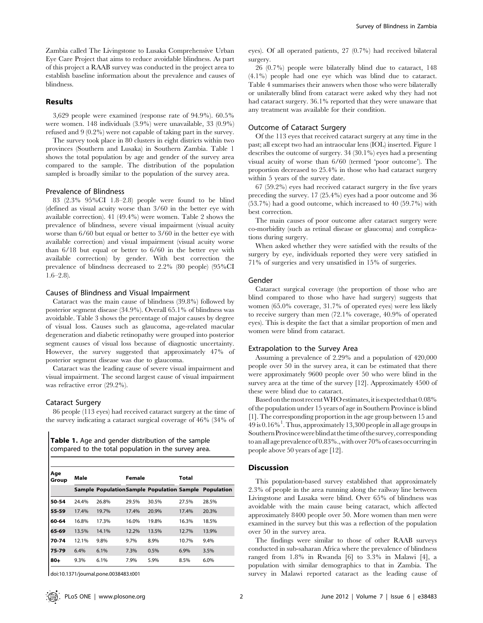Zambia called The Livingstone to Lusaka Comprehensive Urban Eye Care Project that aims to reduce avoidable blindness. As part of this project a RAAB survey was conducted in the project area to establish baseline information about the prevalence and causes of blindness.

# Results

3,629 people were examined (response rate of 94.9%). 60.5% were women. 148 individuals (3.9%) were unavailable, 33 (0.9%) refused and 9 (0.2%) were not capable of taking part in the survey.

The survey took place in 80 clusters in eight districts within two provinces (Southern and Lusaka) in Southern Zambia. Table 1 shows the total population by age and gender of the survey area compared to the sample. The distribution of the population sampled is broadly similar to the population of the survey area.

# Prevalence of Blindness

83 (2.3% 95%CI 1.8–2.8) people were found to be blind (defined as visual acuity worse than 3/60 in the better eye with available correction). 41 (49.4%) were women. Table 2 shows the prevalence of blindness, severe visual impairment (visual acuity worse than 6/60 but equal or better to 3/60 in the better eye with available correction) and visual impairment (visual acuity worse than 6/18 but equal or better to 6/60 in the better eye with available correction) by gender. With best correction the prevalence of blindness decreased to 2.2% (80 people) (95%CI  $1.6-2.8$ ).

# Causes of Blindness and Visual Impairment

Cataract was the main cause of blindness (39.8%) followed by posterior segment disease (34.9%). Overall 65.1% of blindness was avoidable. Table 3 shows the percentage of major causes by degree of visual loss. Causes such as glaucoma, age-related macular degeneration and diabetic retinopathy were grouped into posterior segment causes of visual loss because of diagnostic uncertainty. However, the survey suggested that approximately 47% of posterior segment disease was due to glaucoma.

Cataract was the leading cause of severe visual impairment and visual impairment. The second largest cause of visual impairment was refractive error (29.2%).

# Cataract Surgery

86 people (113 eyes) had received cataract surgery at the time of the survey indicating a cataract surgical coverage of 46% (34% of

|  | <b>Table 1.</b> Age and gender distribution of the sample |
|--|-----------------------------------------------------------|
|  | compared to the total population in the survey area.      |

| Age<br>Group | Male  |       | Female |       | Total |                                                      |  |
|--------------|-------|-------|--------|-------|-------|------------------------------------------------------|--|
|              |       |       |        |       |       | Sample PopulationSample Population Sample Population |  |
| 50-54        | 24.4% | 26.8% | 29.5%  | 30.5% | 27.5% | 28.5%                                                |  |
| 55-59        | 17.4% | 19.7% | 17.4%  | 20.9% | 17.4% | 20.3%                                                |  |
| 60-64        | 16.8% | 17.3% | 16.0%  | 19.8% | 16.3% | 18.5%                                                |  |
| 65-69        | 13.5% | 14.1% | 12.2%  | 13.5% | 12.7% | 13.9%                                                |  |
| 70-74        | 12.1% | 9.8%  | 9.7%   | 8.9%  | 10.7% | 9.4%                                                 |  |
| 75-79        | 6.4%  | 6.1%  | 7.3%   | 0.5%  | 6.9%  | 3.5%                                                 |  |
| $80 -$       | 9.3%  | 6.1%  | 7.9%   | 5.9%  | 8.5%  | 6.0%                                                 |  |

doi:10.1371/journal.pone.0038483.t001

eyes). Of all operated patients, 27 (0.7%) had received bilateral surgery.

26 (0.7%) people were bilaterally blind due to cataract, 148 (4.1%) people had one eye which was blind due to cataract. Table 4 summarises their answers when those who were bilaterally or unilaterally blind from cataract were asked why they had not had cataract surgery. 36.1% reported that they were unaware that any treatment was available for their condition.

# Outcome of Cataract Surgery

Of the 113 eyes that received cataract surgery at any time in the past; all except two had an intraocular lens (IOL) inserted. Figure 1 describes the outcome of surgery. 34 (30.1%) eyes had a presenting visual acuity of worse than 6/60 (termed 'poor outcome'). The proportion decreased to 25.4% in those who had cataract surgery within 5 years of the survey date.

67 (59.2%) eyes had received cataract surgery in the five years preceding the survey. 17 (25.4%) eyes had a poor outcome and 36 (53.7%) had a good outcome, which increased to 40 (59.7%) with best correction.

The main causes of poor outcome after cataract surgery were co-morbidity (such as retinal disease or glaucoma) and complications during surgery.

When asked whether they were satisfied with the results of the surgery by eye, individuals reported they were very satisfied in 71% of surgeries and very unsatisfied in 15% of surgeries.

### Gender

Cataract surgical coverage (the proportion of those who are blind compared to those who have had surgery) suggests that women (65.0% coverage, 31.7% of operated eyes) were less likely to receive surgery than men (72.1% coverage, 40.9% of operated eyes). This is despite the fact that a similar proportion of men and women were blind from cataract.

# Extrapolation to the Survey Area

Assuming a prevalence of 2.29% and a population of 420,000 people over 50 in the survey area, it can be estimated that there were approximately 9600 people over 50 who were blind in the survey area at the time of the survey [12]. Approximately 4500 of these were blind due to cataract.

Based on the most recent WHO estimates, it is expected that  $0.08\%$ of the population under 15 years of age in Southern Province is blind [1]. The corresponding proportion in the age group between 15 and 49 is 0.16%<sup>1</sup> . Thus, approximately 13,300 people in all age groups in Southern Province were blind at the time of the survey, corresponding to an all age prevalence of 0.83%.,with over 70% of cases occurringin people above 50 years of age [12].

# Discussion

This population-based survey established that approximately 2.3% of people in the area running along the railway line between Livingstone and Lusaka were blind. Over 65% of blindness was avoidable with the main cause being cataract, which affected approximately 8400 people over 50. More women than men were examined in the survey but this was a reflection of the population over 50 in the survey area.

The findings were similar to those of other RAAB surveys conducted in sub-saharan Africa where the prevalence of blindness ranged from 1.8% in Rwanda [6] to 3.3% in Malawi [4], a population with similar demographics to that in Zambia. The survey in Malawi reported cataract as the leading cause of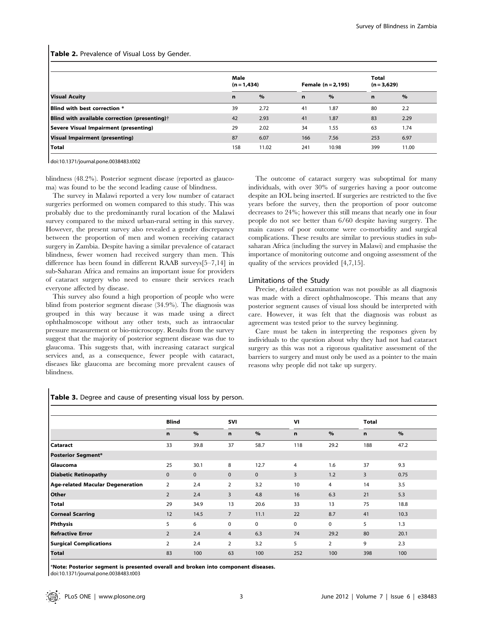Table 2. Prevalence of Visual Loss by Gender.

|                                                        | Male<br>$(n = 1, 434)$ |       | Female $(n = 2, 195)$ |       | Total<br>$(n = 3,629)$ |       |
|--------------------------------------------------------|------------------------|-------|-----------------------|-------|------------------------|-------|
| <b>Visual Acuity</b>                                   | $\mathbf n$            | $\%$  | n                     | $\%$  | $\mathbf n$            | $\%$  |
| Blind with best correction *                           | 39                     | 2.72  | 41                    | 1.87  | 80                     | 2.2   |
| Blind with available correction (presenting) $\dagger$ | 42                     | 2.93  | 41                    | 1.87  | 83                     | 2.29  |
| <b>Severe Visual Impairment (presenting)</b>           | 29                     | 2.02  | 34                    | 1.55  | 63                     | 1.74  |
| <b>Visual Impairment (presenting)</b>                  | 87                     | 6.07  | 166                   | 7.56  | 253                    | 6.97  |
| <b>Total</b>                                           | 158                    | 11.02 | 241                   | 10.98 | 399                    | 11.00 |

doi:10.1371/journal.pone.0038483.t002

blindness (48.2%). Posterior segment disease (reported as glaucoma) was found to be the second leading cause of blindness.

The survey in Malawi reported a very low number of cataract surgeries performed on women compared to this study. This was probably due to the predominantly rural location of the Malawi survey compared to the mixed urban-rural setting in this survey. However, the present survey also revealed a gender discrepancy between the proportion of men and women receiving cataract surgery in Zambia. Despite having a similar prevalence of cataract blindness, fewer women had received surgery than men. This difference has been found in different RAAB surveys[5–7,14] in sub-Saharan Africa and remains an important issue for providers of cataract surgery who need to ensure their services reach everyone affected by disease.

This survey also found a high proportion of people who were blind from posterior segment disease (34.9%). The diagnosis was grouped in this way because it was made using a direct ophthalmoscope without any other tests, such as intraocular pressure measurement or bio-microscopy. Results from the survey suggest that the majority of posterior segment disease was due to glaucoma. This suggests that, with increasing cataract surgical services and, as a consequence, fewer people with cataract, diseases like glaucoma are becoming more prevalent causes of blindness.

The outcome of cataract surgery was suboptimal for many individuals, with over 30% of surgeries having a poor outcome despite an IOL being inserted. If surgeries are restricted to the five years before the survey, then the proportion of poor outcome decreases to 24%; however this still means that nearly one in four people do not see better than 6/60 despite having surgery. The main causes of poor outcome were co-morbidity and surgical complications. These results are similar to previous studies in subsaharan Africa (including the survey in Malawi) and emphasise the importance of monitoring outcome and ongoing assessment of the quality of the services provided [4,7,15].

# Limitations of the Study

Precise, detailed examination was not possible as all diagnosis was made with a direct ophthalmoscope. This means that any posterior segment causes of visual loss should be interpreted with care. However, it was felt that the diagnosis was robust as agreement was tested prior to the survey beginning.

Care must be taken in interpreting the responses given by individuals to the question about why they had not had cataract surgery as this was not a rigorous qualitative assessment of the barriers to surgery and must only be used as a pointer to the main reasons why people did not take up surgery.

# Table 3. Degree and cause of presenting visual loss by person.

|                                  | <b>Blind</b>   |               | <b>SVI</b>     |              |             | VI             |             | <b>Total</b> |  |
|----------------------------------|----------------|---------------|----------------|--------------|-------------|----------------|-------------|--------------|--|
|                                  | n              | $\frac{9}{6}$ | n              | $\%$         | n           | $\frac{9}{6}$  | $\mathbf n$ | $\%$         |  |
| <b>Cataract</b>                  | 33             | 39.8          | 37             | 58.7         | 118         | 29.2           | 188         | 47.2         |  |
| <b>Posterior Segment*</b>        |                |               |                |              |             |                |             |              |  |
| Glaucoma                         | 25             | 30.1          | 8              | 12.7         | 4           | 1.6            | 37          | 9.3          |  |
| <b>Diabetic Retinopathy</b>      | $\mathbf{0}$   | $\mathbf{0}$  | $\mathbf{0}$   | $\mathbf{0}$ | 3           | 1.2            | 3           | 0.75         |  |
| Age-related Macular Degeneration | 2              | 2.4           | 2              | 3.2          | 10          | 4              | 14          | 3.5          |  |
| Other                            | 2              | 2.4           | $\overline{3}$ | 4.8          | 16          | 6.3            | 21          | 5.3          |  |
| <b>Total</b>                     | 29             | 34.9          | 13             | 20.6         | 33          | 13             | 75          | 18.8         |  |
| <b>Corneal Scarring</b>          | 12             | 14.5          | $\overline{7}$ | 11.1         | 22          | 8.7            | 41          | 10.3         |  |
| Phthysis                         | 5              | 6             | $\mathbf 0$    | 0            | $\mathbf 0$ | 0              | 5           | 1.3          |  |
| <b>Refractive Error</b>          | $\overline{2}$ | 2.4           | $\overline{4}$ | 6.3          | 74          | 29.2           | 80          | 20.1         |  |
| <b>Surgical Complications</b>    | 2              | 2.4           | 2              | 3.2          | 5           | $\overline{2}$ | 9           | 2.3          |  |
| <b>Total</b>                     | 83             | 100           | 63             | 100          | 252         | 100            | 398         | 100          |  |

\*Note: Posterior segment is presented overall and broken into component diseases.

doi:10.1371/journal.pone.0038483.t003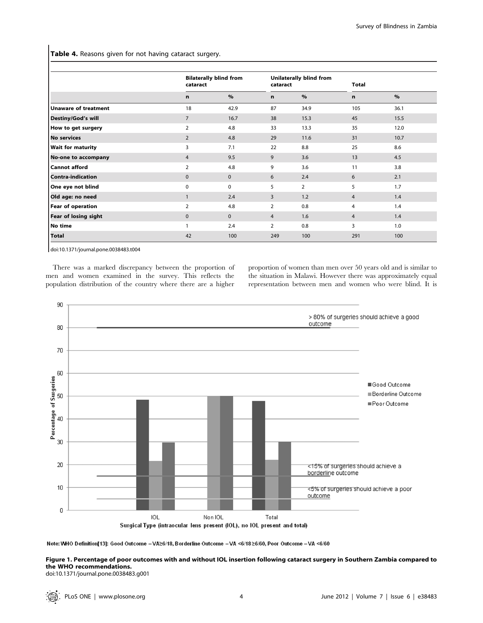Table 4. Reasons given for not having cataract surgery.

|                             | cataract       | <b>Bilaterally blind from</b> |                | Unilaterally blind from<br>cataract |                |      |
|-----------------------------|----------------|-------------------------------|----------------|-------------------------------------|----------------|------|
|                             | n              | $\%$                          | $\mathbf n$    | $\%$                                | n              | $\%$ |
| <b>Unaware of treatment</b> | 18             | 42.9                          | 87             | 34.9                                | 105            | 36.1 |
| Destiny/God's will          | $\overline{7}$ | 16.7                          | 38             | 15.3                                | 45             | 15.5 |
| How to get surgery          | $\overline{2}$ | 4.8                           | 33             | 13.3                                | 35             | 12.0 |
| <b>No services</b>          | $\overline{2}$ | 4.8                           | 29             | 11.6                                | 31             | 10.7 |
| <b>Wait for maturity</b>    | 3              | 7.1                           | 22             | 8.8                                 | 25             | 8.6  |
| No-one to accompany         | $\overline{4}$ | 9.5                           | 9              | 3.6                                 | 13             | 4.5  |
| <b>Cannot afford</b>        | $\overline{2}$ | 4.8                           | 9              | 3.6                                 | 11             | 3.8  |
| <b>Contra-indication</b>    | $\mathbf{0}$   | $\mathbf{0}$                  | 6              | 2.4                                 | 6              | 2.1  |
| One eye not blind           | $\mathbf 0$    | 0                             | 5              | $\overline{2}$                      | 5              | 1.7  |
| Old age: no need            | $\mathbf{1}$   | 2.4                           | 3              | 1.2                                 | $\overline{4}$ | 1.4  |
| Fear of operation           | $\overline{2}$ | 4.8                           | $\overline{2}$ | 0.8                                 | $\overline{4}$ | 1.4  |
| Fear of losing sight        | $\mathbf{0}$   | $\mathbf{0}$                  | $\overline{4}$ | 1.6                                 | $\overline{4}$ | 1.4  |
| No time                     |                | 2.4                           | 2              | 0.8                                 | 3              | 1.0  |
| <b>Total</b>                | 42             | 100                           | 249            | 100                                 | 291            | 100  |

doi:10.1371/journal.pone.0038483.t004

There was a marked discrepancy between the proportion of men and women examined in the survey. This reflects the population distribution of the country where there are a higher proportion of women than men over 50 years old and is similar to the situation in Malawi. However there was approximately equal representation between men and women who were blind. It is



Note: WHO Definition[13]: Good Outcome -VA≥6/18, Borderline Outcome -VA <6/18≥6/60, Poor Outcome -VA <6/60

Figure 1. Percentage of poor outcomes with and without IOL insertion following cataract surgery in Southern Zambia compared to the WHO recommendations.

doi:10.1371/journal.pone.0038483.g001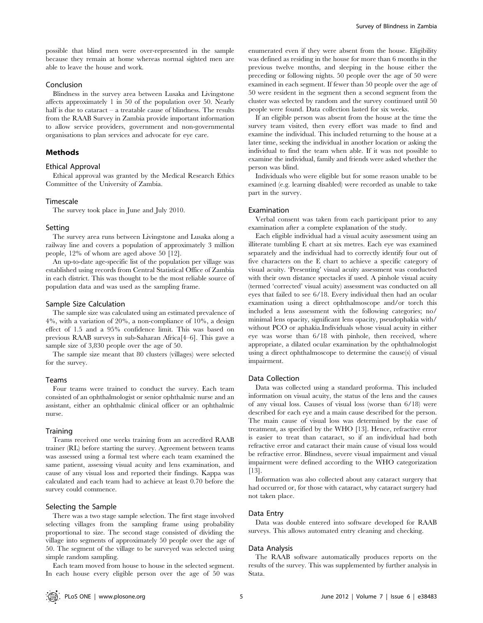possible that blind men were over-represented in the sample because they remain at home whereas normal sighted men are able to leave the house and work.

# Conclusion

Blindness in the survey area between Lusaka and Livingstone affects approximately 1 in 50 of the population over 50. Nearly half is due to cataract  $-$  a treatable cause of blindness. The results from the RAAB Survey in Zambia provide important information to allow service providers, government and non-governmental organisations to plan services and advocate for eye care.

### Methods

#### Ethical Approval

Ethical approval was granted by the Medical Research Ethics Committee of the University of Zambia.

# Timescale

The survey took place in June and July 2010.

#### Setting

The survey area runs between Livingstone and Lusaka along a railway line and covers a population of approximately 3 million people, 12% of whom are aged above 50 [12].

An up-to-date age-specific list of the population per village was established using records from Central Statistical Office of Zambia in each district. This was thought to be the most reliable source of population data and was used as the sampling frame.

#### Sample Size Calculation

The sample size was calculated using an estimated prevalence of 4%, with a variation of 20%, a non-compliance of 10%, a design effect of 1.5 and a 95% confidence limit. This was based on previous RAAB surveys in sub-Saharan Africa[4–6]. This gave a sample size of 3,830 people over the age of 50.

The sample size meant that 80 clusters (villages) were selected for the survey.

#### Teams

Four teams were trained to conduct the survey. Each team consisted of an ophthalmologist or senior ophthalmic nurse and an assistant, either an ophthalmic clinical officer or an ophthalmic nurse.

#### **Training**

Teams received one weeks training from an accredited RAAB trainer (RL) before starting the survey. Agreement between teams was assessed using a formal test where each team examined the same patient, assessing visual acuity and lens examination, and cause of any visual loss and reported their findings. Kappa was calculated and each team had to achieve at least 0.70 before the survey could commence.

## Selecting the Sample

There was a two stage sample selection. The first stage involved selecting villages from the sampling frame using probability proportional to size. The second stage consisted of dividing the village into segments of approximately 50 people over the age of 50. The segment of the village to be surveyed was selected using simple random sampling.

Each team moved from house to house in the selected segment. In each house every eligible person over the age of 50 was enumerated even if they were absent from the house. Eligibility was defined as residing in the house for more than 6 months in the previous twelve months, and sleeping in the house either the preceding or following nights. 50 people over the age of 50 were examined in each segment. If fewer than 50 people over the age of 50 were resident in the segment then a second segment from the cluster was selected by random and the survey continued until 50 people were found. Data collection lasted for six weeks.

If an eligible person was absent from the house at the time the survey team visited, then every effort was made to find and examine the individual. This included returning to the house at a later time, seeking the individual in another location or asking the individual to find the team when able. If it was not possible to examine the individual, family and friends were asked whether the person was blind.

Individuals who were eligible but for some reason unable to be examined (e.g. learning disabled) were recorded as unable to take part in the survey.

#### Examination

Verbal consent was taken from each participant prior to any examination after a complete explanation of the study.

Each eligible individual had a visual acuity assessment using an illiterate tumbling E chart at six metres. Each eye was examined separately and the individual had to correctly identify four out of five characters on the E chart to achieve a specific category of visual acuity. 'Presenting' visual acuity assessment was conducted with their own distance spectacles if used. A pinhole visual acuity (termed 'corrected' visual acuity) assessment was conducted on all eyes that failed to see 6/18. Every individual then had an ocular examination using a direct ophthalmoscope and/or torch this included a lens assessment with the following categories; no/ minimal lens opacity, significant lens opacity, pseudophakia with/ without PCO or aphakia.Individuals whose visual acuity in either eye was worse than 6/18 with pinhole, then received, where appropriate, a dilated ocular examination by the ophthalmologist using a direct ophthalmoscope to determine the cause(s) of visual impairment.

## Data Collection

Data was collected using a standard proforma. This included information on visual acuity, the status of the lens and the causes of any visual loss. Causes of visual loss (worse than 6/18) were described for each eye and a main cause described for the person. The main cause of visual loss was determined by the ease of treatment, as specified by the WHO [13]. Hence, refractive error is easier to treat than cataract, so if an individual had both refractive error and cataract their main cause of visual loss would be refractive error. Blindness, severe visual impairment and visual impairment were defined according to the WHO categorization [13].

Information was also collected about any cataract surgery that had occurred or, for those with cataract, why cataract surgery had not taken place.

#### Data Entry

Data was double entered into software developed for RAAB surveys. This allows automated entry cleaning and checking.

#### Data Analysis

The RAAB software automatically produces reports on the results of the survey. This was supplemented by further analysis in Stata.